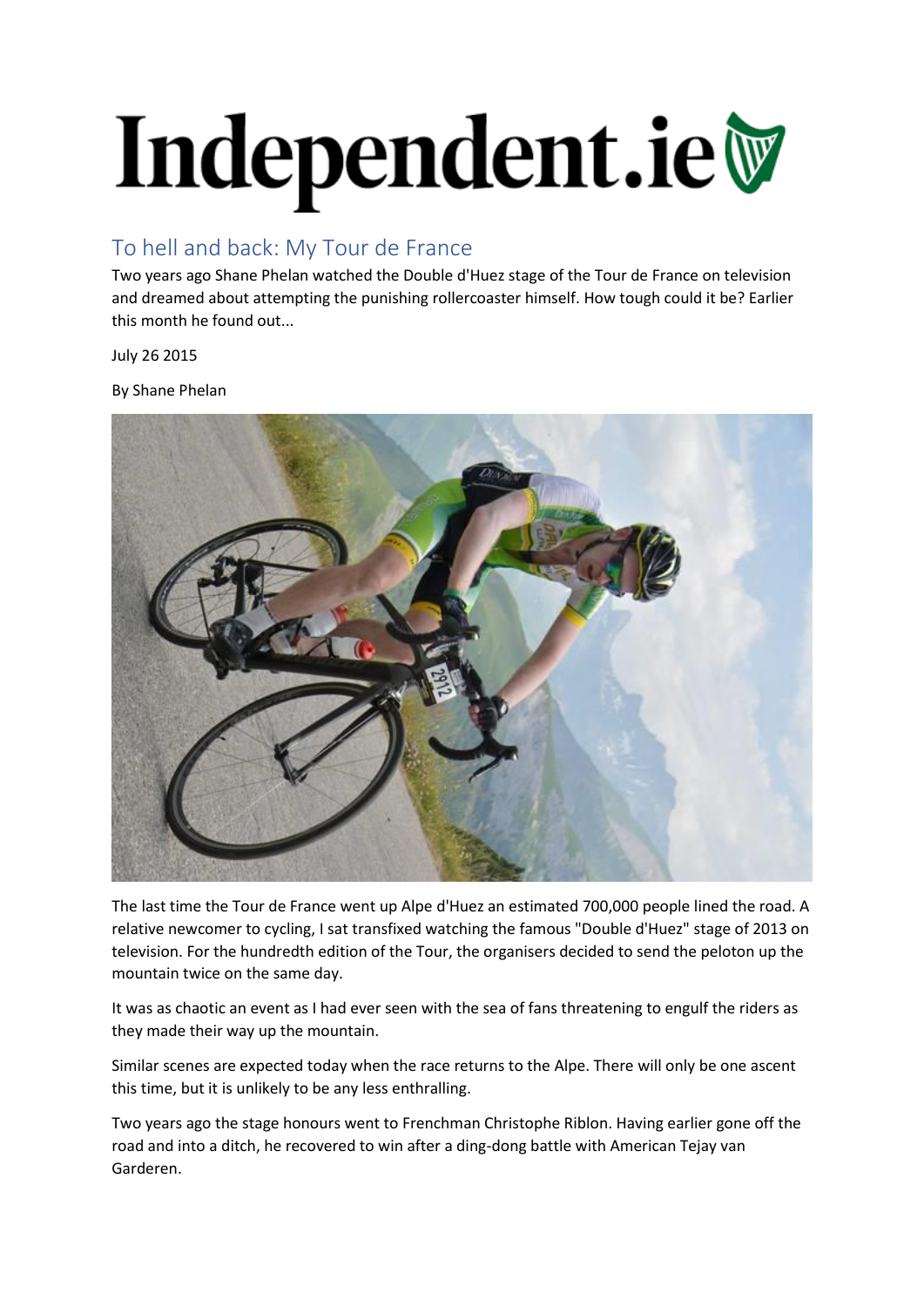## Independent.ie

## To hell and back: My Tour de France

Two years ago Shane Phelan watched the Double d'Huez stage of the Tour de France on television and dreamed about attempting the punishing rollercoaster himself. How tough could it be? Earlier this month he found out...

July 26 2015

By Shane Phelan



The last time the Tour de France went up Alpe d'Huez an estimated 700,000 people lined the road. A relative newcomer to cycling, I sat transfixed watching the famous "Double d'Huez" stage of 2013 on television. For the hundredth edition of the Tour, the organisers decided to send the peloton up the mountain twice on the same day.

It was as chaotic an event as I had ever seen with the sea of fans threatening to engulf the riders as they made their way up the mountain.

Similar scenes are expected today when the race returns to the Alpe. There will only be one ascent this time, but it is unlikely to be any less enthralling.

Two years ago the stage honours went to Frenchman Christophe Riblon. Having earlier gone off the road and into a ditch, he recovered to win after a ding-dong battle with American Tejay van Garderen.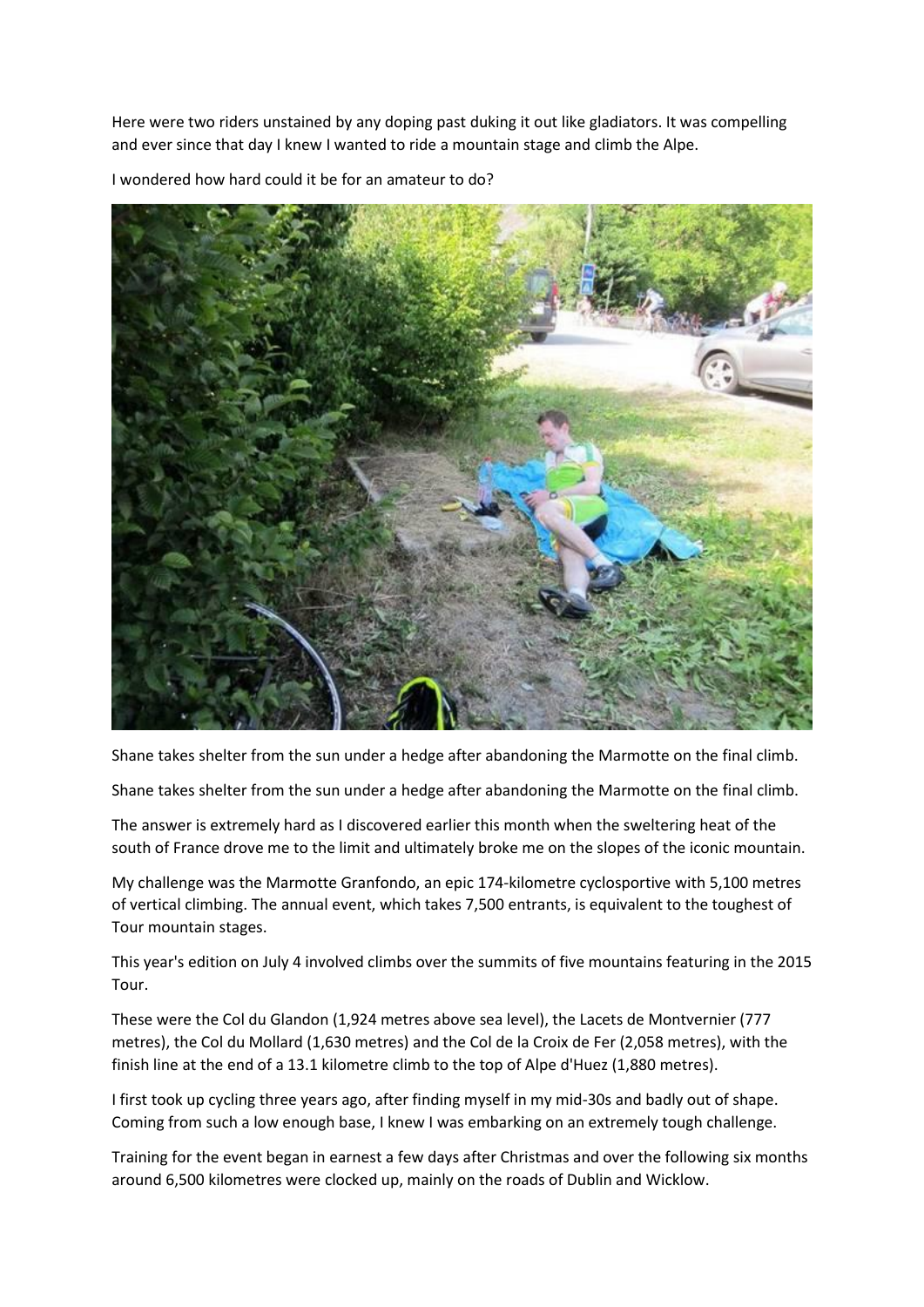Here were two riders unstained by any doping past duking it out like gladiators. It was compelling and ever since that day I knew I wanted to ride a mountain stage and climb the Alpe.



I wondered how hard could it be for an amateur to do?

Shane takes shelter from the sun under a hedge after abandoning the Marmotte on the final climb.

Shane takes shelter from the sun under a hedge after abandoning the Marmotte on the final climb.

The answer is extremely hard as I discovered earlier this month when the sweltering heat of the south of France drove me to the limit and ultimately broke me on the slopes of the iconic mountain.

My challenge was the Marmotte Granfondo, an epic 174-kilometre cyclosportive with 5,100 metres of vertical climbing. The annual event, which takes 7,500 entrants, is equivalent to the toughest of Tour mountain stages.

This year's edition on July 4 involved climbs over the summits of five mountains featuring in the 2015 Tour.

These were the Col du Glandon (1,924 metres above sea level), the Lacets de Montvernier (777 metres), the Col du Mollard (1,630 metres) and the Col de la Croix de Fer (2,058 metres), with the finish line at the end of a 13.1 kilometre climb to the top of Alpe d'Huez (1,880 metres).

I first took up cycling three years ago, after finding myself in my mid-30s and badly out of shape. Coming from such a low enough base, I knew I was embarking on an extremely tough challenge.

Training for the event began in earnest a few days after Christmas and over the following six months around 6,500 kilometres were clocked up, mainly on the roads of Dublin and Wicklow.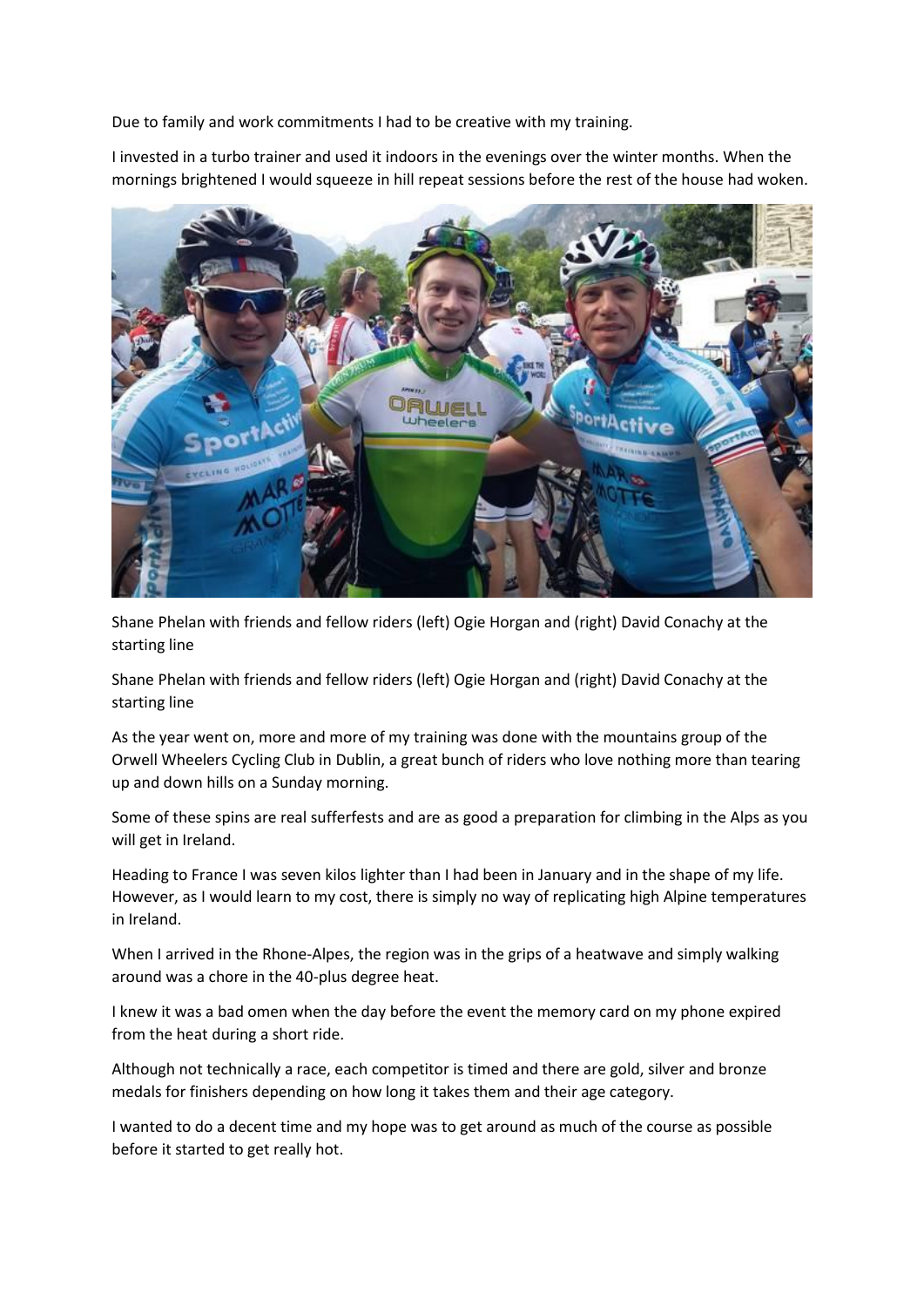Due to family and work commitments I had to be creative with my training.

I invested in a turbo trainer and used it indoors in the evenings over the winter months. When the mornings brightened I would squeeze in hill repeat sessions before the rest of the house had woken.



Shane Phelan with friends and fellow riders (left) Ogie Horgan and (right) David Conachy at the starting line

Shane Phelan with friends and fellow riders (left) Ogie Horgan and (right) David Conachy at the starting line

As the year went on, more and more of my training was done with the mountains group of the Orwell Wheelers Cycling Club in Dublin, a great bunch of riders who love nothing more than tearing up and down hills on a Sunday morning.

Some of these spins are real sufferfests and are as good a preparation for climbing in the Alps as you will get in Ireland.

Heading to France I was seven kilos lighter than I had been in January and in the shape of my life. However, as I would learn to my cost, there is simply no way of replicating high Alpine temperatures in Ireland.

When I arrived in the Rhone-Alpes, the region was in the grips of a heatwave and simply walking around was a chore in the 40-plus degree heat.

I knew it was a bad omen when the day before the event the memory card on my phone expired from the heat during a short ride.

Although not technically a race, each competitor is timed and there are gold, silver and bronze medals for finishers depending on how long it takes them and their age category.

I wanted to do a decent time and my hope was to get around as much of the course as possible before it started to get really hot.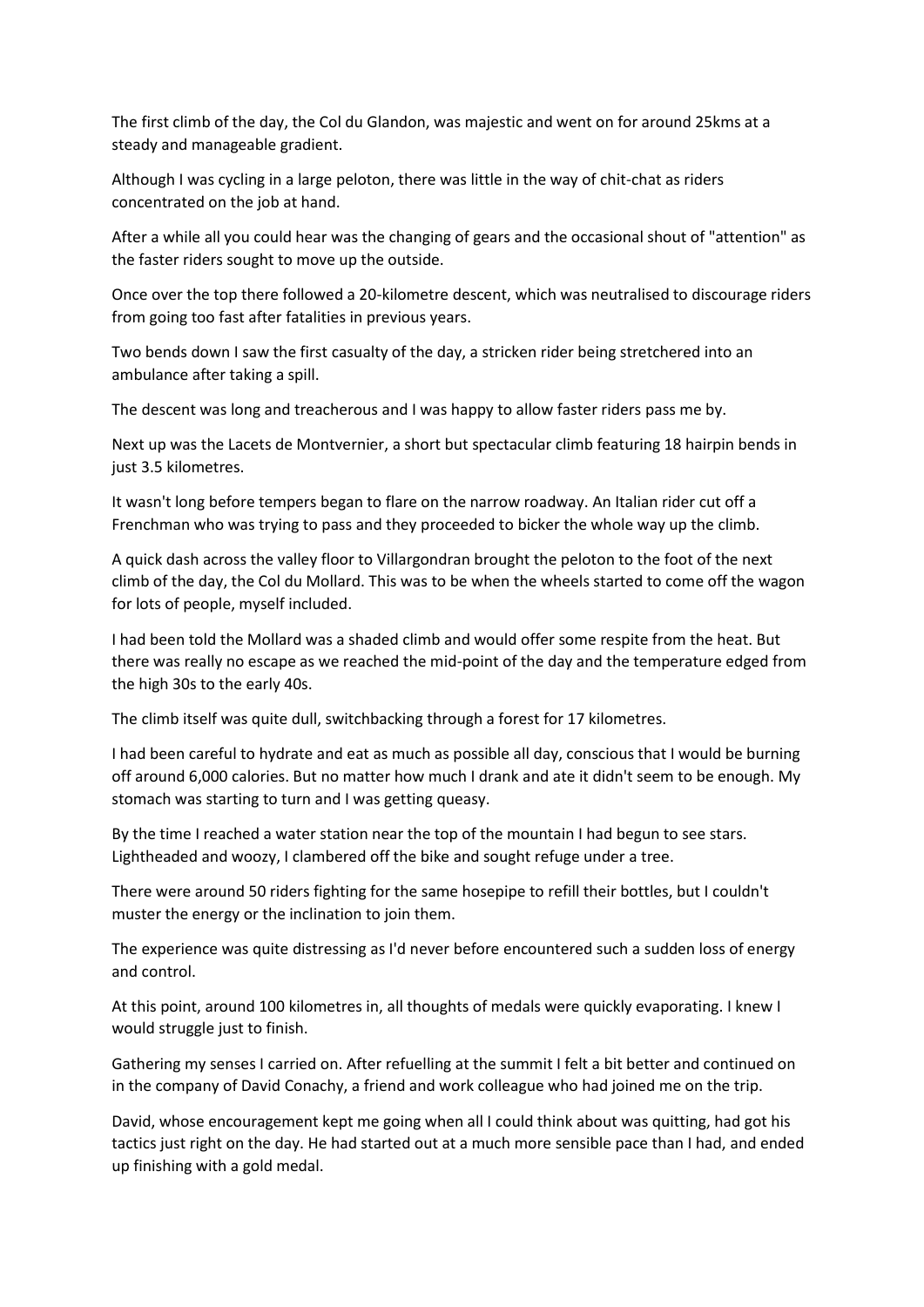The first climb of the day, the Col du Glandon, was majestic and went on for around 25kms at a steady and manageable gradient.

Although I was cycling in a large peloton, there was little in the way of chit-chat as riders concentrated on the job at hand.

After a while all you could hear was the changing of gears and the occasional shout of "attention" as the faster riders sought to move up the outside.

Once over the top there followed a 20-kilometre descent, which was neutralised to discourage riders from going too fast after fatalities in previous years.

Two bends down I saw the first casualty of the day, a stricken rider being stretchered into an ambulance after taking a spill.

The descent was long and treacherous and I was happy to allow faster riders pass me by.

Next up was the Lacets de Montvernier, a short but spectacular climb featuring 18 hairpin bends in just 3.5 kilometres.

It wasn't long before tempers began to flare on the narrow roadway. An Italian rider cut off a Frenchman who was trying to pass and they proceeded to bicker the whole way up the climb.

A quick dash across the valley floor to Villargondran brought the peloton to the foot of the next climb of the day, the Col du Mollard. This was to be when the wheels started to come off the wagon for lots of people, myself included.

I had been told the Mollard was a shaded climb and would offer some respite from the heat. But there was really no escape as we reached the mid-point of the day and the temperature edged from the high 30s to the early 40s.

The climb itself was quite dull, switchbacking through a forest for 17 kilometres.

I had been careful to hydrate and eat as much as possible all day, conscious that I would be burning off around 6,000 calories. But no matter how much I drank and ate it didn't seem to be enough. My stomach was starting to turn and I was getting queasy.

By the time I reached a water station near the top of the mountain I had begun to see stars. Lightheaded and woozy, I clambered off the bike and sought refuge under a tree.

There were around 50 riders fighting for the same hosepipe to refill their bottles, but I couldn't muster the energy or the inclination to join them.

The experience was quite distressing as I'd never before encountered such a sudden loss of energy and control.

At this point, around 100 kilometres in, all thoughts of medals were quickly evaporating. I knew I would struggle just to finish.

Gathering my senses I carried on. After refuelling at the summit I felt a bit better and continued on in the company of David Conachy, a friend and work colleague who had joined me on the trip.

David, whose encouragement kept me going when all I could think about was quitting, had got his tactics just right on the day. He had started out at a much more sensible pace than I had, and ended up finishing with a gold medal.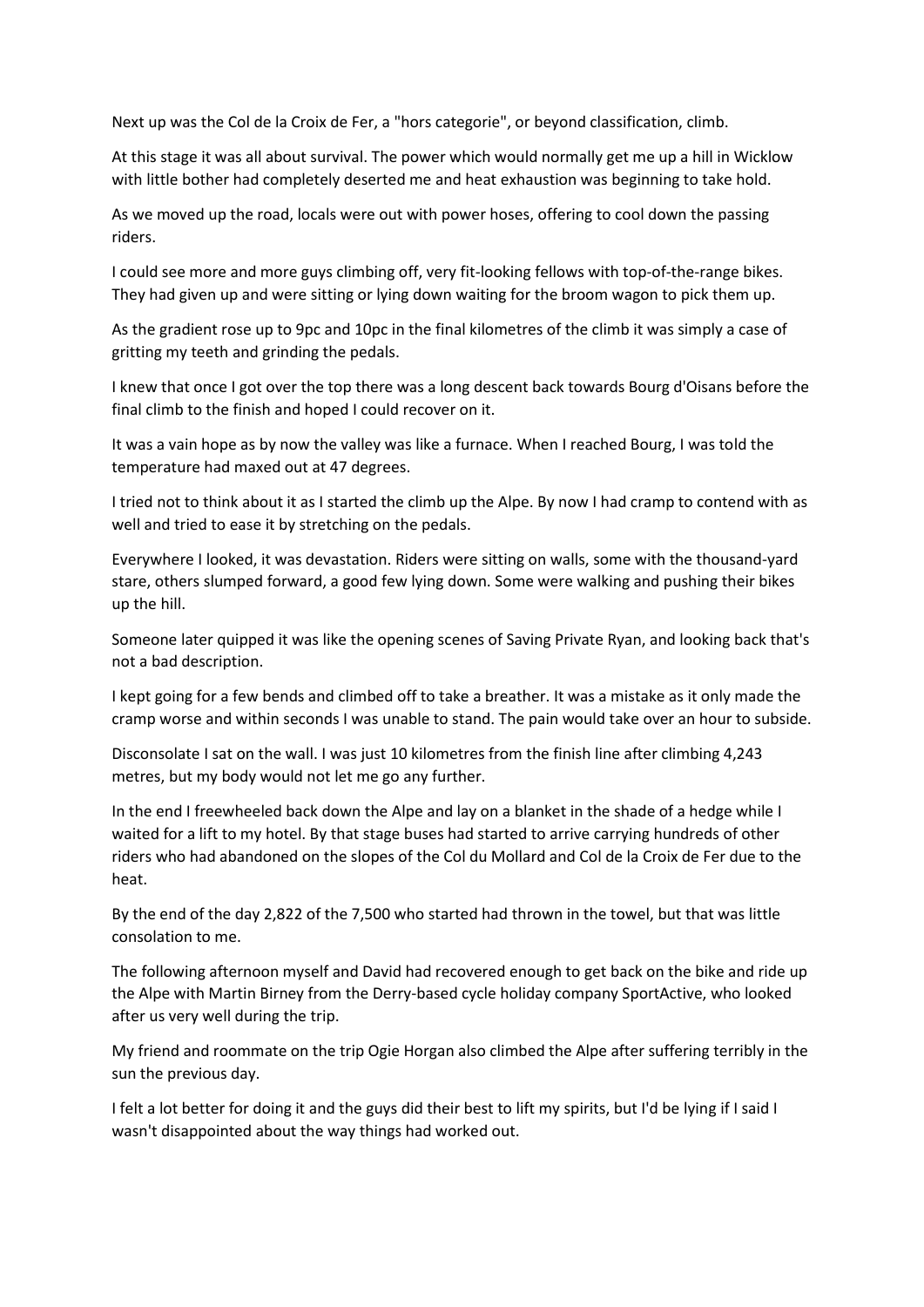Next up was the Col de la Croix de Fer, a "hors categorie", or beyond classification, climb.

At this stage it was all about survival. The power which would normally get me up a hill in Wicklow with little bother had completely deserted me and heat exhaustion was beginning to take hold.

As we moved up the road, locals were out with power hoses, offering to cool down the passing riders.

I could see more and more guys climbing off, very fit-looking fellows with top-of-the-range bikes. They had given up and were sitting or lying down waiting for the broom wagon to pick them up.

As the gradient rose up to 9pc and 10pc in the final kilometres of the climb it was simply a case of gritting my teeth and grinding the pedals.

I knew that once I got over the top there was a long descent back towards Bourg d'Oisans before the final climb to the finish and hoped I could recover on it.

It was a vain hope as by now the valley was like a furnace. When I reached Bourg, I was told the temperature had maxed out at 47 degrees.

I tried not to think about it as I started the climb up the Alpe. By now I had cramp to contend with as well and tried to ease it by stretching on the pedals.

Everywhere I looked, it was devastation. Riders were sitting on walls, some with the thousand-yard stare, others slumped forward, a good few lying down. Some were walking and pushing their bikes up the hill.

Someone later quipped it was like the opening scenes of Saving Private Ryan, and looking back that's not a bad description.

I kept going for a few bends and climbed off to take a breather. It was a mistake as it only made the cramp worse and within seconds I was unable to stand. The pain would take over an hour to subside.

Disconsolate I sat on the wall. I was just 10 kilometres from the finish line after climbing 4,243 metres, but my body would not let me go any further.

In the end I freewheeled back down the Alpe and lay on a blanket in the shade of a hedge while I waited for a lift to my hotel. By that stage buses had started to arrive carrying hundreds of other riders who had abandoned on the slopes of the Col du Mollard and Col de la Croix de Fer due to the heat.

By the end of the day 2,822 of the 7,500 who started had thrown in the towel, but that was little consolation to me.

The following afternoon myself and David had recovered enough to get back on the bike and ride up the Alpe with Martin Birney from the Derry-based cycle holiday company SportActive, who looked after us very well during the trip.

My friend and roommate on the trip Ogie Horgan also climbed the Alpe after suffering terribly in the sun the previous day.

I felt a lot better for doing it and the guys did their best to lift my spirits, but I'd be lying if I said I wasn't disappointed about the way things had worked out.